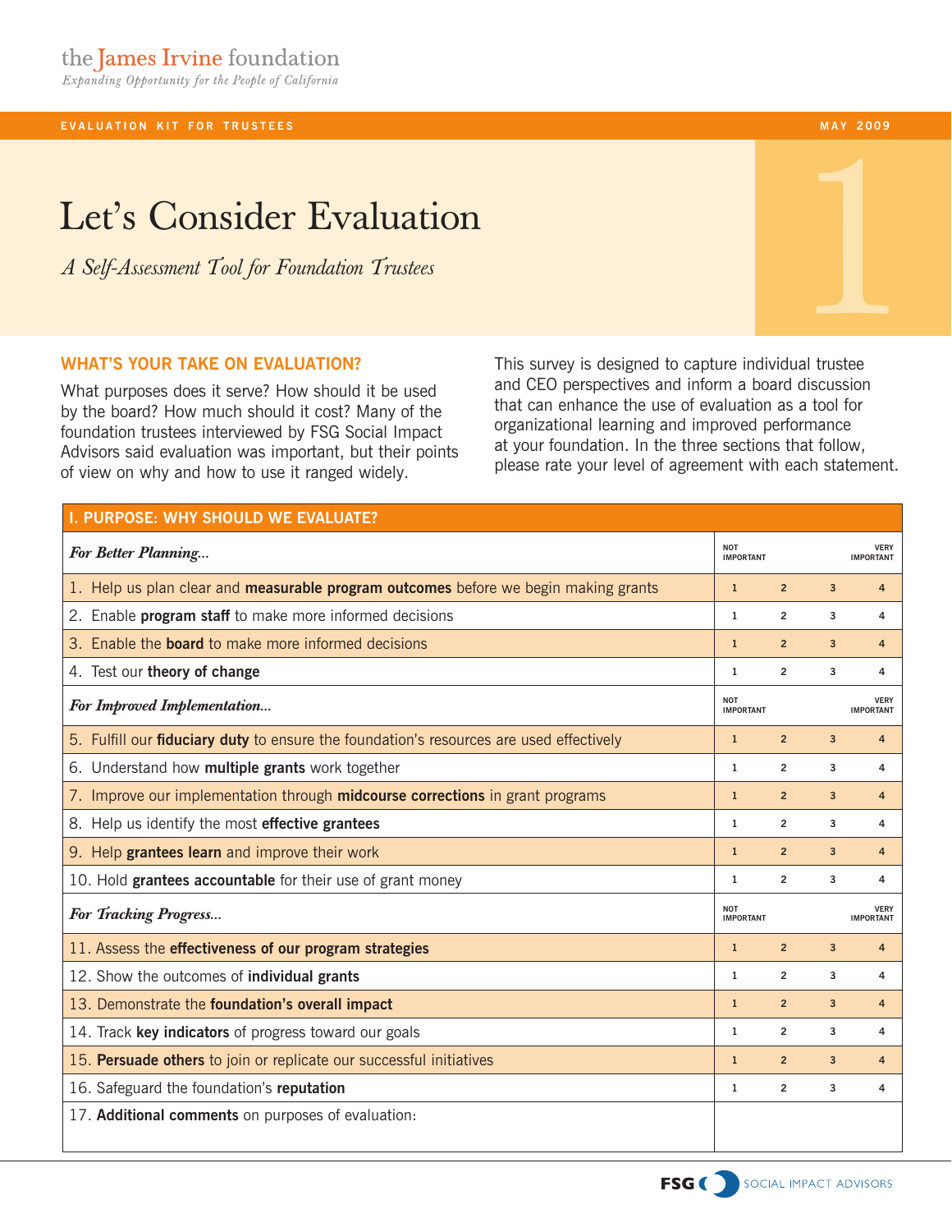## **EVALUATION KIT FOR TRUSTEES**

## Let's Consider Evaluation

*A Self-Assessment Tool for Foundation Trustees*

## **What's your take on evaluation?**

What purposes does it serve? How should it be used by the board? How much should it cost? Many of the foundation trustees interviewed by FSG Social Impact Advisors said evaluation was important, but their points of view on why and how to use it ranged widely.

This survey is designed to capture individual trustee and CEO perspectives and inform a board discussion that can enhance the use of evaluation as a tool for organizational learning and improved performance at your foundation. In the three sections that follow, please rate your level of agreement with each statement.

| I. PURPOSE: WHY SHOULD WE EVALUATE?                                                            |                                |                         |                |                                 |
|------------------------------------------------------------------------------------------------|--------------------------------|-------------------------|----------------|---------------------------------|
| For Better Planning                                                                            | <b>NOT</b><br><b>IMPORTANT</b> |                         |                | <b>VERY</b><br><b>IMPORTANT</b> |
| 1. Help us plan clear and measurable program outcomes before we begin making grants            | $\mathbf{1}$                   | $\overline{2}$          | $\overline{3}$ | $\overline{4}$                  |
| 2. Enable program staff to make more informed decisions                                        | $\mathbf{1}$                   | $\overline{2}$          | 3              | 4                               |
| 3. Enable the <b>board</b> to make more informed decisions                                     | $\mathbf{1}$                   | $\overline{2}$          | 3              | $\overline{4}$                  |
| 4. Test our theory of change                                                                   | $\mathbf{1}$                   | $\overline{\mathbf{c}}$ | 3              | 4                               |
| For Improved Implementation                                                                    | <b>NOT</b><br><b>IMPORTANT</b> |                         |                | <b>VERY</b><br><b>IMPORTANT</b> |
| 5. Fulfill our <b>fiduciary duty</b> to ensure the foundation's resources are used effectively | $\mathbf{1}$                   | $\overline{2}$          | $\overline{3}$ | $\overline{4}$                  |
| 6. Understand how multiple grants work together                                                | $\mathbf{1}$                   | $\overline{2}$          | 3              | 4                               |
| 7. Improve our implementation through midcourse corrections in grant programs                  | $\mathbf{1}$                   | $\overline{2}$          | 3              | $\overline{4}$                  |
| 8. Help us identify the most effective grantees                                                | $\mathbf{1}$                   | $\overline{2}$          | 3              | 4                               |
| 9. Help grantees learn and improve their work                                                  | $\mathbf{1}$                   | $\overline{2}$          | 3              | $\overline{4}$                  |
| 10. Hold grantees accountable for their use of grant money                                     | $\mathbf{1}$                   | $\overline{2}$          | 3              | 4                               |
| For Tracking Progress                                                                          | <b>NOT</b><br><b>IMPORTANT</b> |                         |                | <b>VERY</b><br><b>IMPORTANT</b> |
| 11. Assess the effectiveness of our program strategies                                         | $\mathbf{1}$                   | $\overline{2}$          | $\overline{3}$ | $\overline{4}$                  |
| 12. Show the outcomes of individual grants                                                     | $\mathbf{1}$                   | $\overline{2}$          | 3              | 4                               |
| 13. Demonstrate the foundation's overall impact                                                | $\mathbf{1}$                   | $\overline{2}$          | 3              | $\overline{4}$                  |
| 14. Track key indicators of progress toward our goals                                          | $\mathbf{1}$                   | $\overline{2}$          | 3              | 4                               |
| 15. Persuade others to join or replicate our successful initiatives                            | $\mathbf{1}$                   | $\overline{2}$          | 3              | $\overline{4}$                  |
| 16. Safeguard the foundation's reputation                                                      | $\mathbf{1}$                   | $\overline{c}$          | 3              | 4                               |
| 17. Additional comments on purposes of evaluation:                                             |                                |                         |                |                                 |
|                                                                                                |                                |                         |                |                                 |